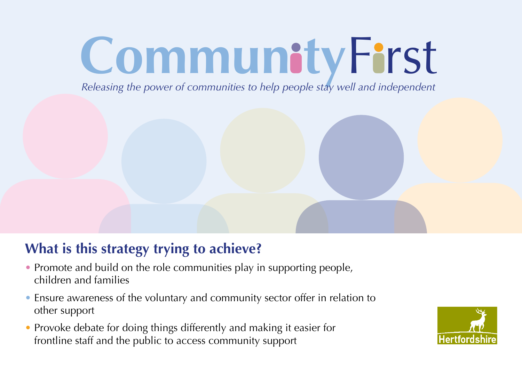# **CommunityFirst**

*Releasing the power of communities to help people stay well and independent*

# **What is this strategy trying to achieve?**

- Promote and build on the role communities play in supporting people, children and families
- Ensure awareness of the voluntary and community sector offer in relation to other support
- Provoke debate for doing things differently and making it easier for frontline staff and the public to access community support

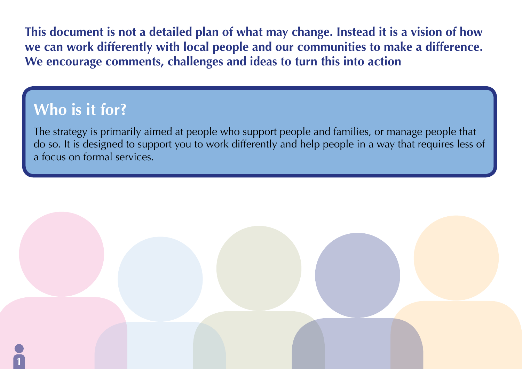**This document is not a detailed plan of what may change. Instead it is a vision of how we can work differently with local people and our communities to make a difference. We encourage comments, challenges and ideas to turn this into action**

# **Who is it for?**

The strategy is primarily aimed at people who support people and families, or manage people that do so. It is designed to support you to work differently and help people in a way that requires less of a focus on formal services.

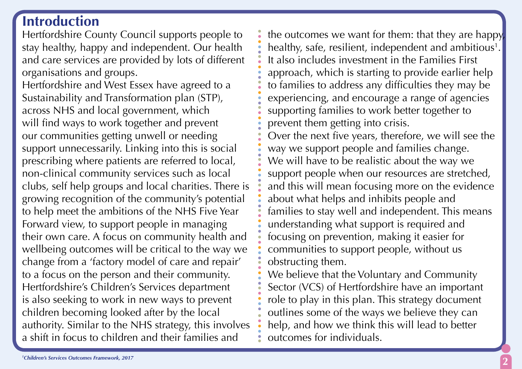# **Introduction**

Hertfordshire County Council supports people to stay healthy, happy and independent. Our health and care services are provided by lots of different organisations and groups.

Hertfordshire and West Essex have agreed to a Sustainability and Transformation plan (STP), across NHS and local government, which will find ways to work together and prevent our communities getting unwell or needing support unnecessarily. Linking into this is social prescribing where patients are referred to local, non-clinical community services such as local clubs, self help groups and local charities. There is growing recognition of the community's potential to help meet the ambitions of the NHS Five Year Forward view, to support people in managing their own care. A focus on community health and wellbeing outcomes will be critical to the way we change from a 'factory model of care and repair' to a focus on the person and their community. Hertfordshire's Children's Services department is also seeking to work in new ways to prevent children becoming looked after by the local authority. Similar to the NHS strategy, this involves a shift in focus to children and their families and

the outcomes we want for them: that they are happy, healthy, safe, resilient, independent and ambitious<sup>1</sup>. It also includes investment in the Families First approach, which is starting to provide earlier help to families to address any difficulties they may be experiencing, and encourage a range of agencies supporting families to work better together to prevent them getting into crisis. Over the next five years, therefore, we will see the way we support people and families change. We will have to be realistic about the way we support people when our resources are stretched, and this will mean focusing more on the evidence about what helps and inhibits people and families to stay well and independent. This means understanding what support is required and focusing on prevention, making it easier for communities to support people, without us obstructing them.

We believe that the Voluntary and Community Sector (VCS) of Hertfordshire have an important role to play in this plan. This strategy document outlines some of the ways we believe they can help, and how we think this will lead to better outcomes for individuals.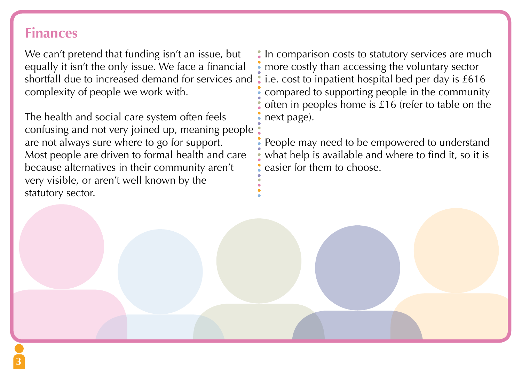### **Finances**

We can't pretend that funding isn't an issue, but equally it isn't the only issue. We face a financial shortfall due to increased demand for services and complexity of people we work with.

The health and social care system often feels confusing and not very joined up, meaning people are not always sure where to go for support. Most people are driven to formal health and care because alternatives in their community aren't very visible, or aren't well known by the statutory sector.

In comparison costs to statutory services are much more costly than accessing the voluntary sector i.e. cost to inpatient hospital bed per day is £616 compared to supporting people in the community often in peoples home is £16 (refer to table on the next page).

People may need to be empowered to understand what help is available and where to find it, so it is easier for them to choose.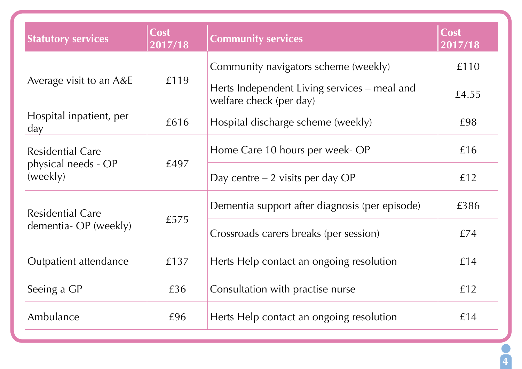| <b>Statutory services</b>                                  | <b>Cost</b><br>2017/18 | <b>Community services</b>                                               | Cost<br>2017/18 |
|------------------------------------------------------------|------------------------|-------------------------------------------------------------------------|-----------------|
| Average visit to an A&E                                    | £119                   | Community navigators scheme (weekly)                                    | £110            |
|                                                            |                        | Herts Independent Living services - meal and<br>welfare check (per day) | £4.55           |
| Hospital inpatient, per<br>day                             | £616                   | Hospital discharge scheme (weekly)                                      | £98             |
| <b>Residential Care</b><br>physical needs - OP<br>(weekly) | £497                   | Home Care 10 hours per week- OP                                         | £16             |
|                                                            |                        | Day centre $-2$ visits per day OP                                       | £12             |
| <b>Residential Care</b><br>dementia- OP (weekly)           | £575                   | Dementia support after diagnosis (per episode)                          | £386            |
|                                                            |                        | Crossroads carers breaks (per session)                                  | £74             |
| Outpatient attendance                                      | £137                   | Herts Help contact an ongoing resolution                                | £14             |
| Seeing a GP                                                | £36                    | Consultation with practise nurse                                        | £12             |
| Ambulance                                                  | £96                    | Herts Help contact an ongoing resolution                                | £14             |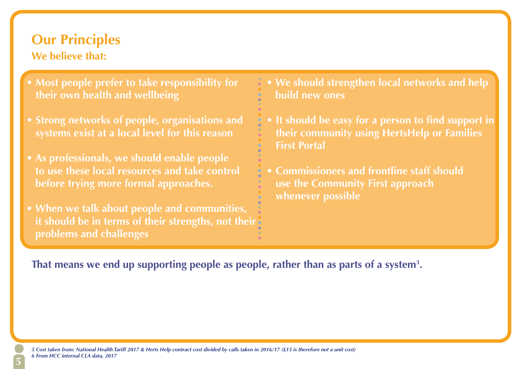### **Our Principles We believe that:**

- **Most people prefer to take responsibility for their own health and wellbeing**
- **Strong networks of people, organisations and**
- **As professionals, we should enable people to use these local resources and take control before trying more formal approaches.**
- **When we talk about people and communities, it should be in terms of their strengths, not their problems and challenges**
- **We should strengthen local networks and help build new ones**
	- **It should be easy for a person to find support in their community using HertsHelp or Families First Portal**
	- **Commissioners and frontline staff should use the Community First approach whenever possible**

That means we end up supporting people as people, rather than as parts of a system<sup>3</sup>.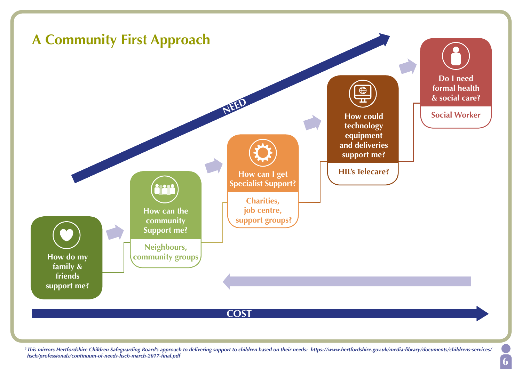

*3 This mirrors Hertfordshire Children Safeguarding Board's approach to delivering support to children based on their needs: https://www.hertfordshire.gov.uk/media-library/documents/childrens-services/ hscb/professionals/continuum-of-needs-hscb-march-2017-final.pdf*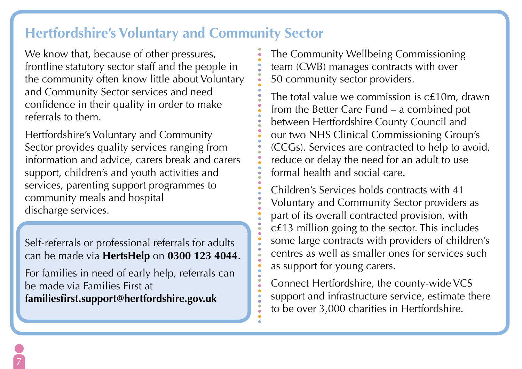## **Hertfordshire's Voluntary and Community Sector**

We know that, because of other pressures, frontline statutory sector staff and the people in the community often know little about Voluntary and Community Sector services and need confidence in their quality in order to make referrals to them.

Hertfordshire's Voluntary and Community Sector provides quality services ranging from information and advice, carers break and carers support, children's and youth activities and services, parenting support programmes to community meals and hospital discharge services.

Self-referrals or professional referrals for adults can be made via **HertsHelp** on **0300 123 4044**.

For families in need of early help, referrals can be made via Families First at **familiesfirst.support@hertfordshire.gov.uk** 

The Community Wellbeing Commissioning team (CWB) manages contracts with over 50 community sector providers.

The total value we commission is c£10m, drawn from the Better Care Fund – a combined pot between Hertfordshire County Council and our two NHS Clinical Commissioning Group's (CCGs). Services are contracted to help to avoid, reduce or delay the need for an adult to use formal health and social care.

Children's Services holds contracts with 41 Voluntary and Community Sector providers as part of its overall contracted provision, with c£13 million going to the sector. This includes some large contracts with providers of children's centres as well as smaller ones for services such as support for young carers.

Connect Hertfordshire, the county-wide VCS support and infrastructure service, estimate there to be over 3,000 charities in Hertfordshire.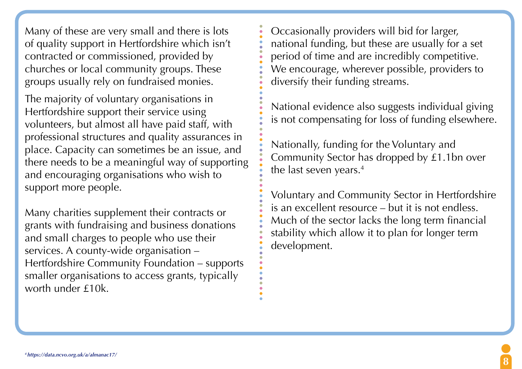Many of these are very small and there is lots of quality support in Hertfordshire which isn't contracted or commissioned, provided by churches or local community groups. These groups usually rely on fundraised monies.

The majority of voluntary organisations in Hertfordshire support their service using volunteers, but almost all have paid staff, with professional structures and quality assurances in place. Capacity can sometimes be an issue, and there needs to be a meaningful way of supporting and encouraging organisations who wish to support more people.

Many charities supplement their contracts or grants with fundraising and business donations and small charges to people who use their services. A county-wide organisation – Hertfordshire Community Foundation – supports smaller organisations to access grants, typically worth under £10k.

Occasionally providers will bid for larger, national funding, but these are usually for a set period of time and are incredibly competitive. We encourage, wherever possible, providers to diversify their funding streams.

National evidence also suggests individual giving is not compensating for loss of funding elsewhere.

Nationally, funding for the Voluntary and Community Sector has dropped by £1.1bn over the last seven years.<sup>4</sup>

Voluntary and Community Sector in Hertfordshire is an excellent resource – but it is not endless. Much of the sector lacks the long term financial stability which allow it to plan for longer term development.

**8**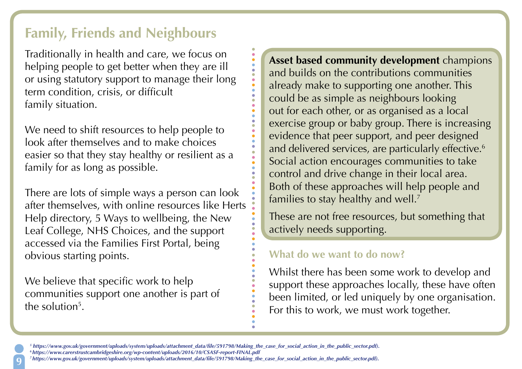# **Family, Friends and Neighbours**

Traditionally in health and care, we focus on helping people to get better when they are ill or using statutory support to manage their long term condition, crisis, or difficult family situation.

We need to shift resources to help people to look after themselves and to make choices easier so that they stay healthy or resilient as a family for as long as possible.

There are lots of simple ways a person can look after themselves, with online resources like Herts Help directory, 5 Ways to wellbeing, the New Leaf College, NHS Choices, and the support accessed via the Families First Portal, being obvious starting points.

We believe that specific work to help communities support one another is part of the solution<sup>5</sup>.

**Asset based community development** champions and builds on the contributions communities already make to supporting one another. This could be as simple as neighbours looking out for each other, or as organised as a local exercise group or baby group. There is increasing evidence that peer support, and peer designed and delivered services, are particularly effective.<sup>6</sup> Social action encourages communities to take control and drive change in their local area. Both of these approaches will help people and families to stay healthy and well.<sup>7</sup>

These are not free resources, but something that actively needs supporting.

### **What do we want to do now?**

Whilst there has been some work to develop and support these approaches locally, these have often been limited, or led uniquely by one organisation. For this to work, we must work together.

- *<sup>5</sup> https://www.gov.uk/government/uploads/system/uploads/attachment\_data/file/591798/Making\_the\_case\_for\_social\_action\_in\_the\_public\_sector.pdf).*
	- *6 https://www.carerstrustcambridgeshire.org/wp-content/uploads/2016/10/CSASF-report-FINAL.pdf*
- *<sup>7</sup>https://www.gov.uk/government/uploads/system/uploads/attachment\_data/file/591798/Making\_the\_case\_for\_social\_action\_in\_the\_public\_sector.pdf).*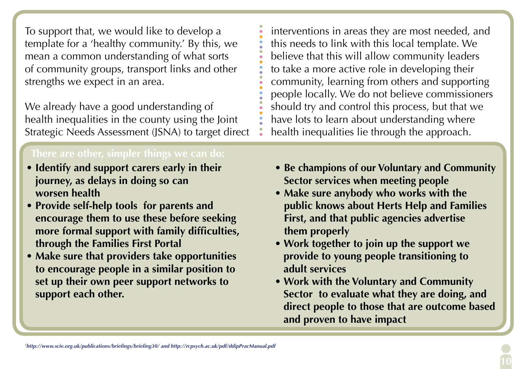To support that, we would like to develop a template for a 'healthy community.' By this, we mean a common understanding of what sorts of community groups, transport links and other strengths we expect in an area.

We already have a good understanding of health inequalities in the county using the Joint Strategic Needs Assessment (JSNA) to target direct

- **Identify and support carers early in their journey, as delays in doing so can worsen health**
- **Provide self-help tools for parents and encourage them to use these before seeking more formal support with family difficulties, through the Families First Portal**
- **Make sure that providers take opportunities to encourage people in a similar position to set up their own peer support networks to support each other.**

interventions in areas they are most needed, and this needs to link with this local template. We believe that this will allow community leaders to take a more active role in developing their community, learning from others and supporting people locally. We do not believe commissioners should try and control this process, but that we have lots to learn about understanding where health inequalities lie through the approach.

- **Be champions of our Voluntary and Community Sector services when meeting people**
- **Make sure anybody who works with the public knows about Herts Help and Families First, and that public agencies advertise them properly**
- **Work together to join up the support we provide to young people transitioning to adult services**
- **Work with the Voluntary and Community Sector to evaluate what they are doing, and direct people to those that are outcome based and proven to have impact**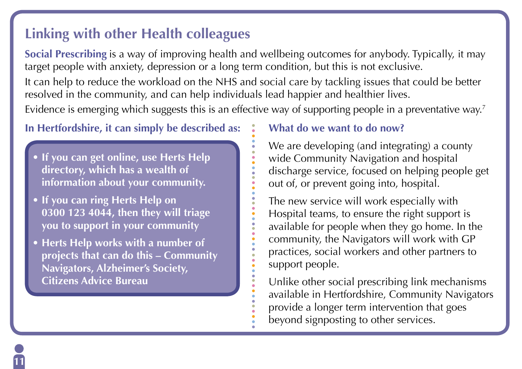# **Linking with other Health colleagues**

**Social Prescribing** is a way of improving health and wellbeing outcomes for anybody. Typically, it may target people with anxiety, depression or a long term condition, but this is not exclusive.

It can help to reduce the workload on the NHS and social care by tackling issues that could be better resolved in the community, and can help individuals lead happier and healthier lives.

Evidence is emerging which suggests this is an effective way of supporting people in a preventative way.<sup>7</sup>

### **In Hertfordshire, it can simply be described as:**

- **If you can get online, use Herts Help directory, which has a wealth of information about your community.**
- **If you can ring Herts Help on 0300 123 4044, then they will triage you to support in your community**
- **Herts Help works with a number of projects that can do this – Community Navigators, Alzheimer's Society, Citizens Advice Bureau**

**11**

### **What do we want to do now?**

We are developing (and integrating) a county wide Community Navigation and hospital discharge service, focused on helping people get out of, or prevent going into, hospital.

The new service will work especially with Hospital teams, to ensure the right support is available for people when they go home. In the community, the Navigators will work with GP practices, social workers and other partners to support people.

Unlike other social prescribing link mechanisms available in Hertfordshire, Community Navigators provide a longer term intervention that goes beyond signposting to other services.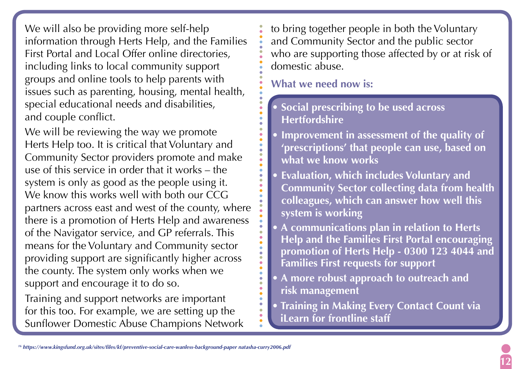We will also be providing more self-help information through Herts Help, and the Families First Portal and Local Offer online directories, including links to local community support groups and online tools to help parents with issues such as parenting, housing, mental health, special educational needs and disabilities, and couple conflict.

We will be reviewing the way we promote Herts Help too. It is critical that Voluntary and Community Sector providers promote and make use of this service in order that it works – the system is only as good as the people using it. We know this works well with both our CCG partners across east and west of the county, where there is a promotion of Herts Help and awareness of the Navigator service, and GP referrals. This means for the Voluntary and Community sector providing support are significantly higher across the county. The system only works when we support and encourage it to do so.

Training and support networks are important for this too. For example, we are setting up the Sunflower Domestic Abuse Champions Network to bring together people in both the Voluntary and Community Sector and the public sector who are supporting those affected by or at risk of domestic abuse.

**What we need now is:** 

**• Social prescribing to be used across Hertfordshire**

- **Improvement in assessment of the quality of 'prescriptions' that people can use, based on what we know works**
- **Evaluation, which includes Voluntary and Community Sector collecting data from health colleagues, which can answer how well this system is working**
- **A communications plan in relation to Herts Help and the Families First Portal encouraging promotion of Herts Help - 0300 123 4044 and Families First requests for support**
- **A more robust approach to outreach and risk management**
- **Training in Making Every Contact Count via iLearn for frontline staff**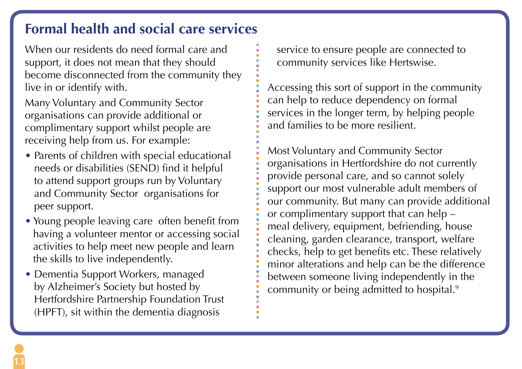# **Formal health and social care services**

When our residents do need formal care and support, it does not mean that they should become disconnected from the community they live in or identify with.

Many Voluntary and Community Sector organisations can provide additional or complimentary support whilst people are receiving help from us. For example:

- Parents of children with special educational needs or disabilities (SEND) find it helpful to attend support groups run by Voluntary and Community Sector organisations for peer support.
- Young people leaving care often benefit from having a volunteer mentor or accessing social activities to help meet new people and learn the skills to live independently.
- Dementia Support Workers, managed by Alzheimer's Society but hosted by Hertfordshire Partnership Foundation Trust (HPFT), sit within the dementia diagnosis

service to ensure people are connected to community services like Hertswise.

Accessing this sort of support in the community can help to reduce dependency on formal services in the longer term, by helping people and families to be more resilient.

Most Voluntary and Community Sector organisations in Hertfordshire do not currently provide personal care, and so cannot solely support our most vulnerable adult members of our community. But many can provide additional or complimentary support that can help – meal delivery, equipment, befriending, house cleaning, garden clearance, transport, welfare checks, help to get benefits etc. These relatively minor alterations and help can be the difference between someone living independently in the community or being admitted to hospital.9

**13**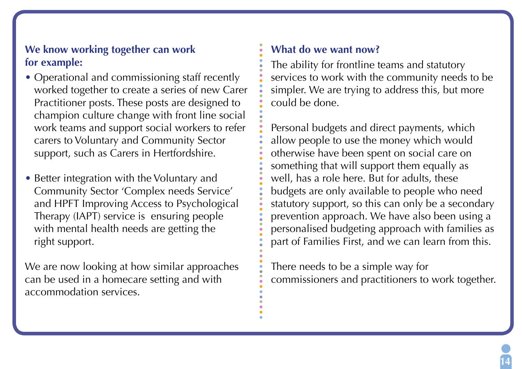### **We know working together can work for example:**

- Operational and commissioning staff recently worked together to create a series of new Carer Practitioner posts. These posts are designed to champion culture change with front line social work teams and support social workers to refer carers to Voluntary and Community Sector support, such as Carers in Hertfordshire.
- Better integration with the Voluntary and Community Sector 'Complex needs Service' and HPFT Improving Access to Psychological Therapy (IAPT) service is ensuring people with mental health needs are getting the right support.

We are now looking at how similar approaches can be used in a homecare setting and with accommodation services.

### **What do we want now?**

The ability for frontline teams and statutory services to work with the community needs to be simpler. We are trying to address this, but more could be done.

Personal budgets and direct payments, which allow people to use the money which would otherwise have been spent on social care on something that will support them equally as well, has a role here. But for adults, these budgets are only available to people who need statutory support, so this can only be a secondary prevention approach. We have also been using a personalised budgeting approach with families as part of Families First, and we can learn from this.

There needs to be a simple way for commissioners and practitioners to work together.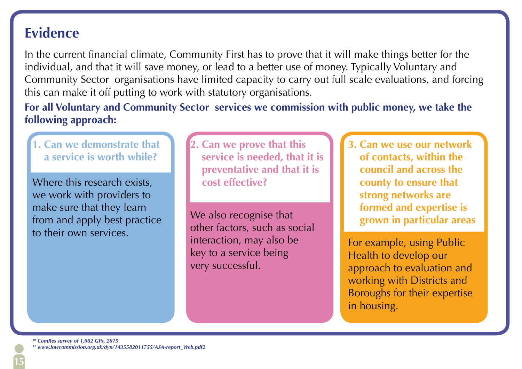### **Evidence**

In the current financial climate, Community First has to prove that it will make things better for the individual, and that it will save money, or lead to a better use of money. Typically Voluntary and Community Sector organisations have limited capacity to carry out full scale evaluations, and forcing this can make it off putting to work with statutory organisations.

**For all Voluntary and Community Sector services we commission with public money, we take the following approach:**

**1. Can we demonstrate that a service is worth while?**

Where this research exists, we work with providers to make sure that they learn from and apply best practice to their own services.

**2. Can we prove that this service is needed, that it is preventative and that it is cost effective?**

We also recognise that other factors, such as social interaction, may also be key to a service being very successful.

**3. Can we use our network of contacts, within the council and across the county to ensure that strong networks are formed and expertise is grown in particular areas**

For example, using Public Health to develop our approach to evaluation and working with Districts and Boroughs for their expertise in housing.

*<sup>10</sup> ComRes survey of 1,002 GPs, 2015* 

*<sup>11</sup> www.lowcommission.org.uk/dyn/1435582011755/ASA-report\_Web.pdf2*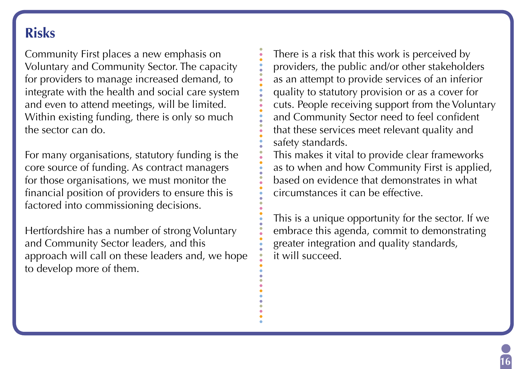# **Risks**

Community First places a new emphasis on Voluntary and Community Sector. The capacity for providers to manage increased demand, to integrate with the health and social care system and even to attend meetings, will be limited. Within existing funding, there is only so much the sector can do.

For many organisations, statutory funding is the core source of funding. As contract managers for those organisations, we must monitor the financial position of providers to ensure this is factored into commissioning decisions.

Hertfordshire has a number of strong Voluntary and Community Sector leaders, and this approach will call on these leaders and, we hope to develop more of them.

There is a risk that this work is perceived by providers, the public and/or other stakeholders as an attempt to provide services of an inferior quality to statutory provision or as a cover for cuts. People receiving support from the Voluntary and Community Sector need to feel confident that these services meet relevant quality and safety standards.

This makes it vital to provide clear frameworks as to when and how Community First is applied, based on evidence that demonstrates in what circumstances it can be effective.

This is a unique opportunity for the sector. If we embrace this agenda, commit to demonstrating greater integration and quality standards, it will succeed.